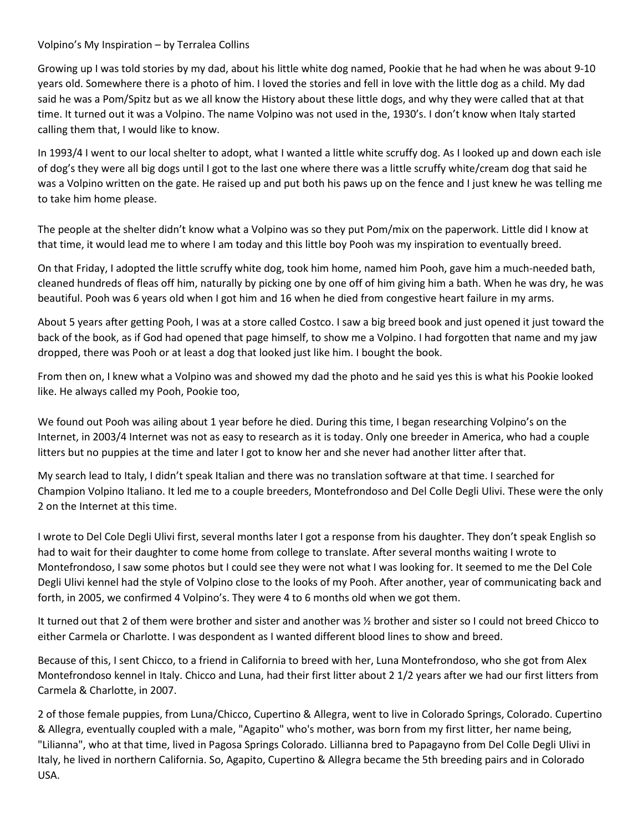## Volpino's My Inspiration – by Terralea Collins

Growing up I was told stories by my dad, about his little white dog named, Pookie that he had when he was about 9-10 years old. Somewhere there is a photo of him. I loved the stories and fell in love with the little dog as a child. My dad said he was a Pom/Spitz but as we all know the History about these little dogs, and why they were called that at that time. It turned out it was a Volpino. The name Volpino was not used in the, 1930's. I don't know when Italy started calling them that, I would like to know.

In 1993/4 I went to our local shelter to adopt, what I wanted a little white scruffy dog. As I looked up and down each isle of dog's they were all big dogs until I got to the last one where there was a little scruffy white/cream dog that said he was a Volpino written on the gate. He raised up and put both his paws up on the fence and I just knew he was telling me to take him home please.

The people at the shelter didn't know what a Volpino was so they put Pom/mix on the paperwork. Little did I know at that time, it would lead me to where I am today and this little boy Pooh was my inspiration to eventually breed.

On that Friday, I adopted the little scruffy white dog, took him home, named him Pooh, gave him a much-needed bath, cleaned hundreds of fleas off him, naturally by picking one by one off of him giving him a bath. When he was dry, he was beautiful. Pooh was 6 years old when I got him and 16 when he died from congestive heart failure in my arms.

About 5 years after getting Pooh, I was at a store called Costco. I saw a big breed book and just opened it just toward the back of the book, as if God had opened that page himself, to show me a Volpino. I had forgotten that name and my jaw dropped, there was Pooh or at least a dog that looked just like him. I bought the book.

From then on, I knew what a Volpino was and showed my dad the photo and he said yes this is what his Pookie looked like. He always called my Pooh, Pookie too,

We found out Pooh was ailing about 1 year before he died. During this time, I began researching Volpino's on the Internet, in 2003/4 Internet was not as easy to research as it is today. Only one breeder in America, who had a couple litters but no puppies at the time and later I got to know her and she never had another litter after that.

My search lead to Italy, I didn't speak Italian and there was no translation software at that time. I searched for Champion Volpino Italiano. It led me to a couple breeders, Montefrondoso and Del Colle Degli Ulivi. These were the only 2 on the Internet at this time.

I wrote to Del Cole Degli Ulivi first, several months later I got a response from his daughter. They don't speak English so had to wait for their daughter to come home from college to translate. After several months waiting I wrote to Montefrondoso, I saw some photos but I could see they were not what I was looking for. It seemed to me the Del Cole Degli Ulivi kennel had the style of Volpino close to the looks of my Pooh. After another, year of communicating back and forth, in 2005, we confirmed 4 Volpino's. They were 4 to 6 months old when we got them.

It turned out that 2 of them were brother and sister and another was ½ brother and sister so I could not breed Chicco to either Carmela or Charlotte. I was despondent as I wanted different blood lines to show and breed.

Because of this, I sent Chicco, to a friend in California to breed with her, Luna Montefrondoso, who she got from Alex Montefrondoso kennel in Italy. Chicco and Luna, had their first litter about 2 1/2 years after we had our first litters from Carmela & Charlotte, in 2007.

2 of those female puppies, from Luna/Chicco, Cupertino & Allegra, went to live in Colorado Springs, Colorado. Cupertino & Allegra, eventually coupled with a male, "Agapito" who's mother, was born from my first litter, her name being, "Lilianna", who at that time, lived in Pagosa Springs Colorado. Lillianna bred to Papagayno from Del Colle Degli Ulivi in Italy, he lived in northern California. So, Agapito, Cupertino & Allegra became the 5th breeding pairs and in Colorado USA.